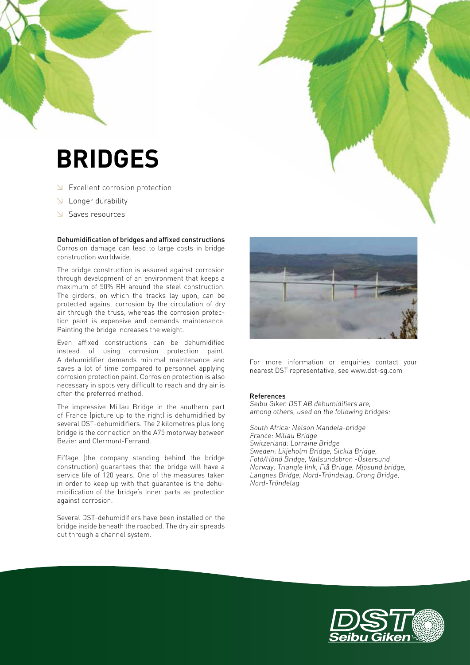# **BRIDGES**

- $\searrow$  Excellent corrosion protection
- $\triangle$  Longer durability
- Saves resources

Dehumidification of bridges and affixed constructions Corrosion damage can lead to large costs in bridge construction worldwide.

The bridge construction is assured against corrosion through development of an environment that keeps a maximum of 50% RH around the steel construction. The girders, on which the tracks lay upon, can be protected against corrosion by the circulation of dry air through the truss, whereas the corrosion protection paint is expensive and demands maintenance. Painting the bridge increases the weight.

Even affixed constructions can be dehumidified instead of using corrosion protection paint. A dehumidifier demands minimal maintenance and saves a lot of time compared to personnel applying corrosion protection paint. Corrosion protection is also necessary in spots very difficult to reach and dry air is often the preferred method.

The impressive Millau Bridge in the southern part of France (picture up to the right) is dehumidified by several DST-dehumidifiers. The 2 kilometres plus long bridge is the connection on the A75 motorway between Bezier and Clermont-Ferrand.

Eiffage (the company standing behind the bridge construction) guarantees that the bridge will have a service life of 120 years. One of the measures taken in order to keep up with that guarantee is the dehumidification of the bridge's inner parts as protection against corrosion.

Several DST-dehumidifiers have been installed on the bridge inside beneath the roadbed. The dry air spreads out through a channel system.



For more information or enquiries contact your nearest DST representative, see www.dst-sg.com

#### References

Seibu Giken DST AB dehumidifiers are, among others, used on the following bridges:

South Africa: Nelson Mandela-bridge France: Millau Bridge Switzerland: Lorraine Bridge Sweden: Liljeholm Bridge, Sickla Bridge, Fotö/Hönö Bridge, Vallsundsbron -Östersund Norway: Triangle link, Flå Bridge, Mjosund bridge, Langnes Bridge, Nord-Tröndelag, Grong Bridge, Nord-Tröndelag